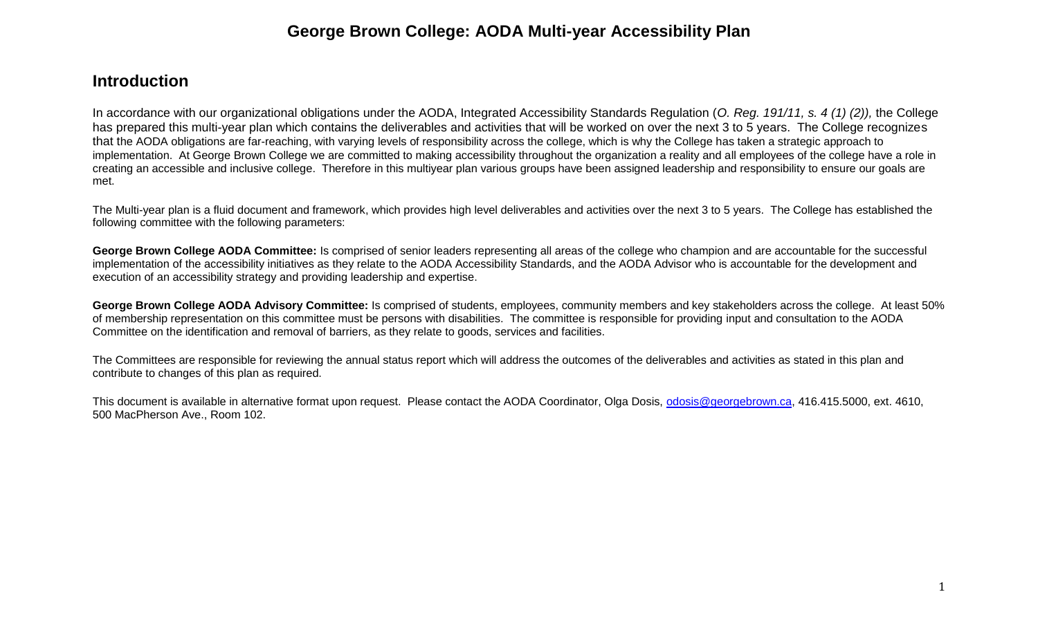## **George Brown College: AODA Multi-year Accessibility Plan**

## **Introduction**

In accordance with our organizational obligations under the AODA, Integrated Accessibility Standards Regulation (*O. Reg. 191/11, s. 4 (1) (2)),* the College has prepared this multi-year plan which contains the deliverables and activities that will be worked on over the next 3 to 5 years. The College recognizes that the AODA obligations are far-reaching, with varying levels of responsibility across the college, which is why the College has taken a strategic approach to implementation. At George Brown College we are committed to making accessibility throughout the organization a reality and all employees of the college have a role in creating an accessible and inclusive college. Therefore in this multiyear plan various groups have been assigned leadership and responsibility to ensure our goals are met.

The Multi-year plan is a fluid document and framework, which provides high level deliverables and activities over the next 3 to 5 years. The College has established the following committee with the following parameters:

**George Brown College AODA Committee:** Is comprised of senior leaders representing all areas of the college who champion and are accountable for the successful implementation of the accessibility initiatives as they relate to the AODA Accessibility Standards, and the AODA Advisor who is accountable for the development and execution of an accessibility strategy and providing leadership and expertise.

**George Brown College AODA Advisory Committee:** Is comprised of students, employees, community members and key stakeholders across the college. At least 50% of membership representation on this committee must be persons with disabilities. The committee is responsible for providing input and consultation to the AODA Committee on the identification and removal of barriers, as they relate to goods, services and facilities.

The Committees are responsible for reviewing the annual status report which will address the outcomes of the deliverables and activities as stated in this plan and contribute to changes of this plan as required.

This document is available in alternative format upon request. Please contact the AODA Coordinator, Olga Dosis, [odosis@georgebrown.ca,](mailto:odosis@georgebrown.ca) 416.415.5000, ext. 4610, 500 MacPherson Ave., Room 102.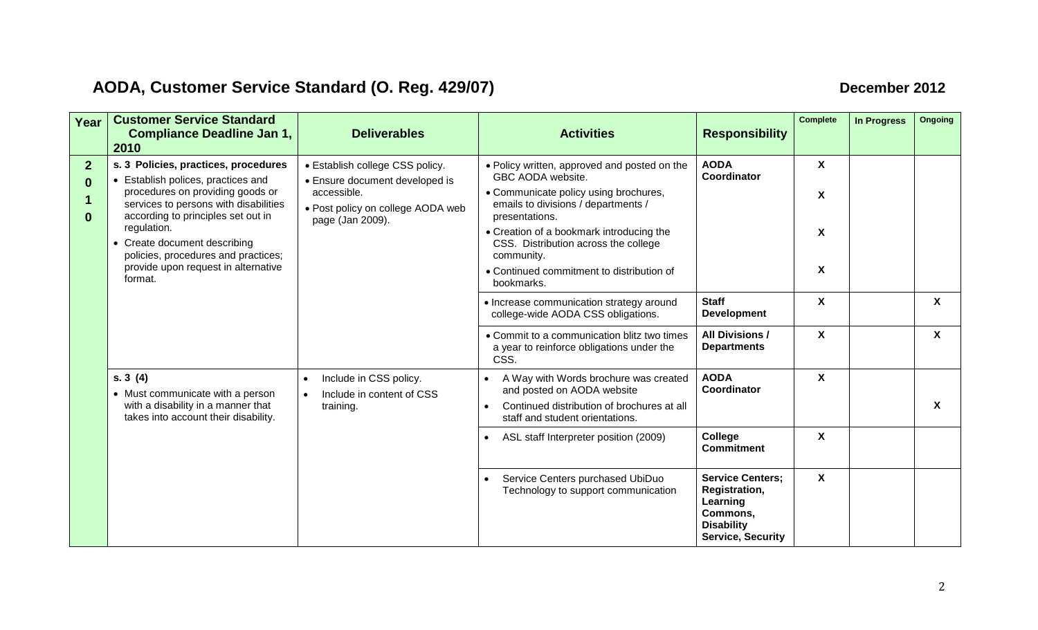## **AODA, Customer Service Standard (O. Reg. 429/07) December 2012**

| Year                     | <b>Customer Service Standard</b><br><b>Compliance Deadline Jan 1,</b><br>2010                                                                                                                                                                                                                                                         | <b>Deliverables</b>                                                                                                                       | <b>Activities</b>                                                                                                                                                                                                                                                                                                                                                            | <b>Responsibility</b>                                                                                             | <b>Complete</b>                                                       | <b>In Progress</b> | Ongoing                   |
|--------------------------|---------------------------------------------------------------------------------------------------------------------------------------------------------------------------------------------------------------------------------------------------------------------------------------------------------------------------------------|-------------------------------------------------------------------------------------------------------------------------------------------|------------------------------------------------------------------------------------------------------------------------------------------------------------------------------------------------------------------------------------------------------------------------------------------------------------------------------------------------------------------------------|-------------------------------------------------------------------------------------------------------------------|-----------------------------------------------------------------------|--------------------|---------------------------|
| $\overline{2}$<br>0<br>0 | s. 3 Policies, practices, procedures<br>• Establish polices, practices and<br>procedures on providing goods or<br>services to persons with disabilities<br>according to principles set out in<br>regulation.<br>• Create document describing<br>policies, procedures and practices;<br>provide upon request in alternative<br>format. | • Establish college CSS policy.<br>• Ensure document developed is<br>accessible.<br>• Post policy on college AODA web<br>page (Jan 2009). | • Policy written, approved and posted on the<br>GBC AODA website.<br>• Communicate policy using brochures,<br>emails to divisions / departments /<br>presentations.<br>• Creation of a bookmark introducing the<br>CSS. Distribution across the college<br>community.<br>• Continued commitment to distribution of<br>bookmarks.<br>• Increase communication strategy around | <b>AODA</b><br>Coordinator<br><b>Staff</b>                                                                        | $\boldsymbol{\mathsf{X}}$<br>X<br>X<br>X<br>$\boldsymbol{\mathsf{X}}$ |                    | $\boldsymbol{\mathsf{X}}$ |
|                          |                                                                                                                                                                                                                                                                                                                                       |                                                                                                                                           | college-wide AODA CSS obligations.<br>• Commit to a communication blitz two times<br>a year to reinforce obligations under the<br>CSS.                                                                                                                                                                                                                                       | <b>Development</b><br><b>All Divisions /</b><br><b>Departments</b>                                                | X                                                                     |                    | X                         |
|                          | s.3(4)<br>• Must communicate with a person<br>with a disability in a manner that<br>training.<br>takes into account their disability.                                                                                                                                                                                                 | Include in CSS policy.<br>Include in content of CSS                                                                                       | A Way with Words brochure was created<br>and posted on AODA website<br>Continued distribution of brochures at all<br>staff and student orientations.                                                                                                                                                                                                                         | <b>AODA</b><br>Coordinator                                                                                        | $\boldsymbol{\mathsf{X}}$                                             |                    | X                         |
|                          |                                                                                                                                                                                                                                                                                                                                       |                                                                                                                                           | ASL staff Interpreter position (2009)<br>$\bullet$                                                                                                                                                                                                                                                                                                                           | College<br><b>Commitment</b>                                                                                      | $\boldsymbol{\mathsf{X}}$                                             |                    |                           |
|                          |                                                                                                                                                                                                                                                                                                                                       |                                                                                                                                           | Service Centers purchased UbiDuo<br>Technology to support communication                                                                                                                                                                                                                                                                                                      | <b>Service Centers:</b><br>Registration,<br>Learning<br>Commons,<br><b>Disability</b><br><b>Service, Security</b> | $\mathsf{X}$                                                          |                    |                           |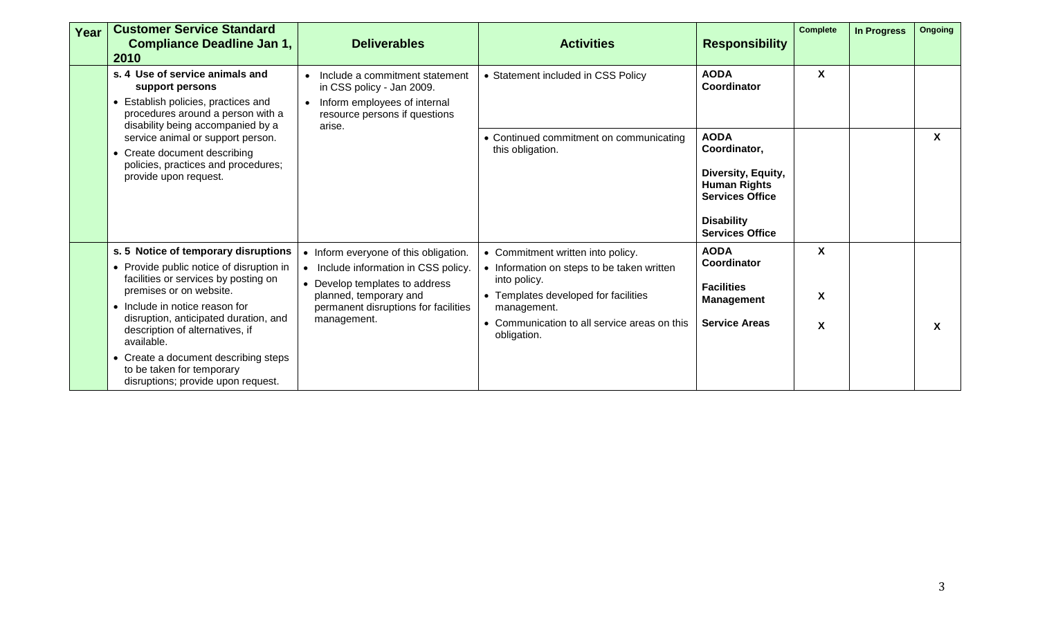| Year | <b>Customer Service Standard</b><br><b>Compliance Deadline Jan 1,</b><br>2010                                                                                                                                                                                                   | <b>Deliverables</b>                                                                                                                                                                              | <b>Activities</b>                                                                                                                                                                                                     | <b>Responsibility</b>                                                                                                                             | <b>Complete</b> | <b>In Progress</b> | <b>Ongoing</b>            |
|------|---------------------------------------------------------------------------------------------------------------------------------------------------------------------------------------------------------------------------------------------------------------------------------|--------------------------------------------------------------------------------------------------------------------------------------------------------------------------------------------------|-----------------------------------------------------------------------------------------------------------------------------------------------------------------------------------------------------------------------|---------------------------------------------------------------------------------------------------------------------------------------------------|-----------------|--------------------|---------------------------|
|      | s. 4 Use of service animals and<br>support persons<br>• Establish policies, practices and<br>procedures around a person with a<br>disability being accompanied by a                                                                                                             | Include a commitment statement<br>in CSS policy - Jan 2009.<br>Inform employees of internal<br>$\bullet$<br>resource persons if questions<br>arise.                                              | • Statement included in CSS Policy                                                                                                                                                                                    | <b>AODA</b><br>Coordinator                                                                                                                        | <b>X</b>        |                    |                           |
|      | service animal or support person.<br>Create document describing<br>policies, practices and procedures;<br>provide upon request.                                                                                                                                                 |                                                                                                                                                                                                  | • Continued commitment on communicating<br>this obligation.                                                                                                                                                           | <b>AODA</b><br>Coordinator,<br>Diversity, Equity,<br><b>Human Rights</b><br><b>Services Office</b><br><b>Disability</b><br><b>Services Office</b> |                 |                    | $\boldsymbol{\mathsf{X}}$ |
|      | s. 5 Notice of temporary disruptions<br>• Provide public notice of disruption in<br>facilities or services by posting on<br>premises or on website.<br>• Include in notice reason for<br>disruption, anticipated duration, and<br>description of alternatives, if<br>available. | • Inform everyone of this obligation.<br>• Include information in CSS policy.<br>• Develop templates to address<br>planned, temporary and<br>permanent disruptions for facilities<br>management. | • Commitment written into policy.<br>• Information on steps to be taken written<br>into policy.<br>• Templates developed for facilities<br>management.<br>• Communication to all service areas on this<br>obligation. | <b>AODA</b><br>Coordinator<br><b>Facilities</b><br><b>Management</b><br><b>Service Areas</b>                                                      | X<br>X<br>X     |                    | $\boldsymbol{\mathsf{X}}$ |
|      | Create a document describing steps<br>to be taken for temporary<br>disruptions; provide upon request.                                                                                                                                                                           |                                                                                                                                                                                                  |                                                                                                                                                                                                                       |                                                                                                                                                   |                 |                    |                           |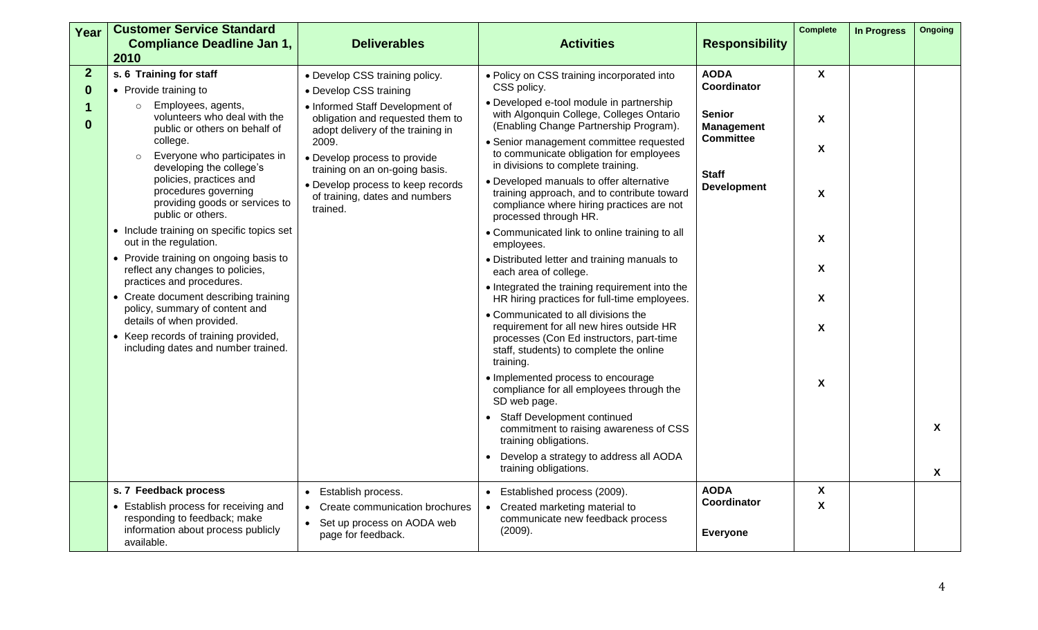| Year                                   | <b>Customer Service Standard</b><br><b>Compliance Deadline Jan 1,</b>                                                                                                                                                                                                                                                                                                                                                                                                                                                                                                                                                                                                                                       | <b>Deliverables</b>                                                                                                                                                                                                                                                                                                                | <b>Activities</b>                                                                                                                                                                                                                                                                                                                                                                                                                                                                                                                                                                                                                                                                                                                                                                                                                                                                                                                                                                                                                                                                                                                                                                      | <b>Responsibility</b>                                                                                                      | <b>Complete</b>                                                                         | <b>In Progress</b> | Ongoing                   |
|----------------------------------------|-------------------------------------------------------------------------------------------------------------------------------------------------------------------------------------------------------------------------------------------------------------------------------------------------------------------------------------------------------------------------------------------------------------------------------------------------------------------------------------------------------------------------------------------------------------------------------------------------------------------------------------------------------------------------------------------------------------|------------------------------------------------------------------------------------------------------------------------------------------------------------------------------------------------------------------------------------------------------------------------------------------------------------------------------------|----------------------------------------------------------------------------------------------------------------------------------------------------------------------------------------------------------------------------------------------------------------------------------------------------------------------------------------------------------------------------------------------------------------------------------------------------------------------------------------------------------------------------------------------------------------------------------------------------------------------------------------------------------------------------------------------------------------------------------------------------------------------------------------------------------------------------------------------------------------------------------------------------------------------------------------------------------------------------------------------------------------------------------------------------------------------------------------------------------------------------------------------------------------------------------------|----------------------------------------------------------------------------------------------------------------------------|-----------------------------------------------------------------------------------------|--------------------|---------------------------|
|                                        | 2010                                                                                                                                                                                                                                                                                                                                                                                                                                                                                                                                                                                                                                                                                                        |                                                                                                                                                                                                                                                                                                                                    |                                                                                                                                                                                                                                                                                                                                                                                                                                                                                                                                                                                                                                                                                                                                                                                                                                                                                                                                                                                                                                                                                                                                                                                        |                                                                                                                            |                                                                                         |                    |                           |
| $\overline{2}$<br>$\bf{0}$<br>$\bf{0}$ | s. 6 Training for staff<br>• Provide training to<br>Employees, agents,<br>$\circ$<br>volunteers who deal with the<br>public or others on behalf of<br>college.<br>Everyone who participates in<br>developing the college's<br>policies, practices and<br>procedures governing<br>providing goods or services to<br>public or others.<br>• Include training on specific topics set<br>out in the regulation.<br>• Provide training on ongoing basis to<br>reflect any changes to policies,<br>practices and procedures.<br>Create document describing training<br>policy, summary of content and<br>details of when provided.<br>• Keep records of training provided,<br>including dates and number trained. | • Develop CSS training policy.<br>• Develop CSS training<br>• Informed Staff Development of<br>obligation and requested them to<br>adopt delivery of the training in<br>2009.<br>• Develop process to provide<br>training on an on-going basis.<br>• Develop process to keep records<br>of training, dates and numbers<br>trained. | • Policy on CSS training incorporated into<br>CSS policy.<br>• Developed e-tool module in partnership<br>with Algonquin College, Colleges Ontario<br>(Enabling Change Partnership Program).<br>· Senior management committee requested<br>to communicate obligation for employees<br>in divisions to complete training.<br>• Developed manuals to offer alternative<br>training approach, and to contribute toward<br>compliance where hiring practices are not<br>processed through HR.<br>• Communicated link to online training to all<br>employees.<br>• Distributed letter and training manuals to<br>each area of college.<br>• Integrated the training requirement into the<br>HR hiring practices for full-time employees.<br>• Communicated to all divisions the<br>requirement for all new hires outside HR<br>processes (Con Ed instructors, part-time<br>staff, students) to complete the online<br>training.<br>· Implemented process to encourage<br>compliance for all employees through the<br>SD web page.<br>• Staff Development continued<br>commitment to raising awareness of CSS<br>training obligations.<br>Develop a strategy to address all AODA<br>$\bullet$ | <b>AODA</b><br>Coordinator<br><b>Senior</b><br><b>Management</b><br><b>Committee</b><br><b>Staff</b><br><b>Development</b> | $\mathbf{X}$<br>X<br>Χ<br>X<br>X<br>X<br>$\mathsf{X}$<br>$\boldsymbol{\mathsf{X}}$<br>X |                    | $\boldsymbol{\mathsf{X}}$ |
|                                        |                                                                                                                                                                                                                                                                                                                                                                                                                                                                                                                                                                                                                                                                                                             |                                                                                                                                                                                                                                                                                                                                    | training obligations.                                                                                                                                                                                                                                                                                                                                                                                                                                                                                                                                                                                                                                                                                                                                                                                                                                                                                                                                                                                                                                                                                                                                                                  |                                                                                                                            |                                                                                         |                    | $\mathbf{x}$              |
|                                        | s. 7 Feedback process<br>• Establish process for receiving and                                                                                                                                                                                                                                                                                                                                                                                                                                                                                                                                                                                                                                              | Establish process.<br>$\bullet$<br>Create communication brochures<br>$\bullet$                                                                                                                                                                                                                                                     | Established process (2009).<br>$\bullet$<br>Created marketing material to<br>$\bullet$                                                                                                                                                                                                                                                                                                                                                                                                                                                                                                                                                                                                                                                                                                                                                                                                                                                                                                                                                                                                                                                                                                 | <b>AODA</b><br>Coordinator                                                                                                 | X<br>$\boldsymbol{\mathsf{X}}$                                                          |                    |                           |
|                                        | responding to feedback; make<br>information about process publicly<br>available.                                                                                                                                                                                                                                                                                                                                                                                                                                                                                                                                                                                                                            | Set up process on AODA web<br>$\bullet$<br>page for feedback.                                                                                                                                                                                                                                                                      | communicate new feedback process<br>(2009).                                                                                                                                                                                                                                                                                                                                                                                                                                                                                                                                                                                                                                                                                                                                                                                                                                                                                                                                                                                                                                                                                                                                            | <b>Everyone</b>                                                                                                            |                                                                                         |                    |                           |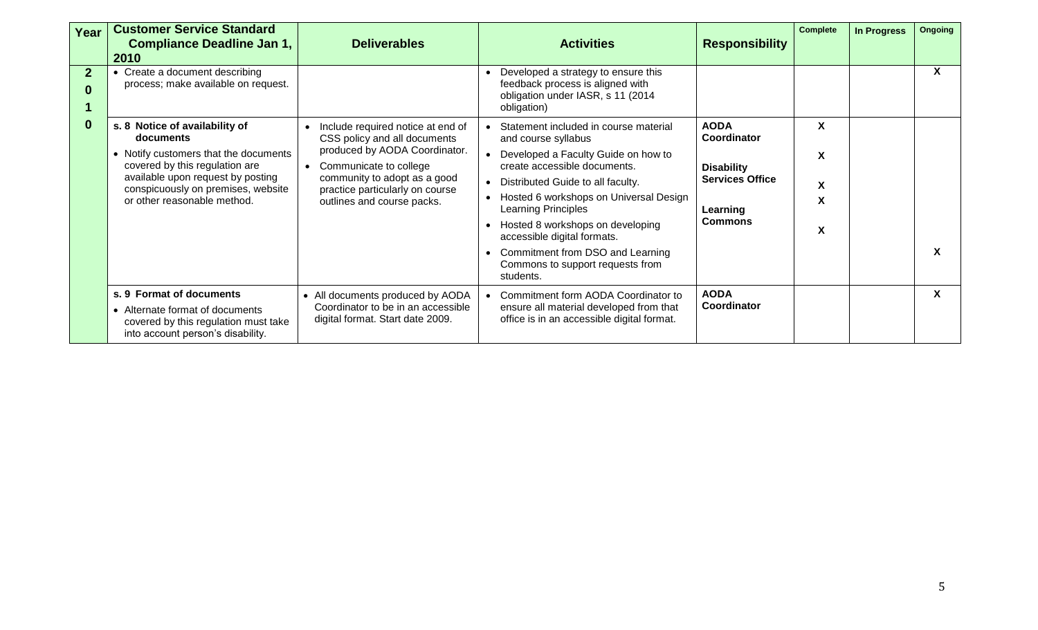| Year                       | <b>Customer Service Standard</b><br><b>Compliance Deadline Jan 1,</b><br>2010                                                                                                                                                    | <b>Deliverables</b>                                                                                                                                                                                                           | <b>Activities</b>                                                                                                                                                                                                                                                                                                                                                                                         | <b>Responsibility</b>                                                                                   | <b>Complete</b>  | <b>In Progress</b> | <b>Ongoing</b> |
|----------------------------|----------------------------------------------------------------------------------------------------------------------------------------------------------------------------------------------------------------------------------|-------------------------------------------------------------------------------------------------------------------------------------------------------------------------------------------------------------------------------|-----------------------------------------------------------------------------------------------------------------------------------------------------------------------------------------------------------------------------------------------------------------------------------------------------------------------------------------------------------------------------------------------------------|---------------------------------------------------------------------------------------------------------|------------------|--------------------|----------------|
| $\overline{2}$<br>$\bf{0}$ | • Create a document describing<br>process; make available on request.                                                                                                                                                            |                                                                                                                                                                                                                               | Developed a strategy to ensure this<br>feedback process is aligned with<br>obligation under IASR, s 11 (2014<br>obligation)                                                                                                                                                                                                                                                                               |                                                                                                         |                  |                    | X              |
| $\bf{0}$                   | s. 8 Notice of availability of<br>documents<br>• Notify customers that the documents<br>covered by this regulation are<br>available upon request by posting<br>conspicuously on premises, website<br>or other reasonable method. | Include required notice at end of<br>CSS policy and all documents<br>produced by AODA Coordinator.<br>Communicate to college<br>community to adopt as a good<br>practice particularly on course<br>outlines and course packs. | • Statement included in course material<br>and course syllabus<br>• Developed a Faculty Guide on how to<br>create accessible documents.<br>• Distributed Guide to all faculty.<br>• Hosted 6 workshops on Universal Design<br>Learning Principles<br>Hosted 8 workshops on developing<br>accessible digital formats.<br>Commitment from DSO and Learning<br>Commons to support requests from<br>students. | <b>AODA</b><br>Coordinator<br><b>Disability</b><br><b>Services Office</b><br>Learning<br><b>Commons</b> | X<br>X<br>X<br>X |                    |                |
|                            | s. 9 Format of documents<br>• Alternate format of documents<br>covered by this regulation must take<br>into account person's disability.                                                                                         | • All documents produced by AODA<br>Coordinator to be in an accessible<br>digital format. Start date 2009.                                                                                                                    | • Commitment form AODA Coordinator to<br>ensure all material developed from that<br>office is in an accessible digital format.                                                                                                                                                                                                                                                                            | <b>AODA</b><br>Coordinator                                                                              |                  |                    | X              |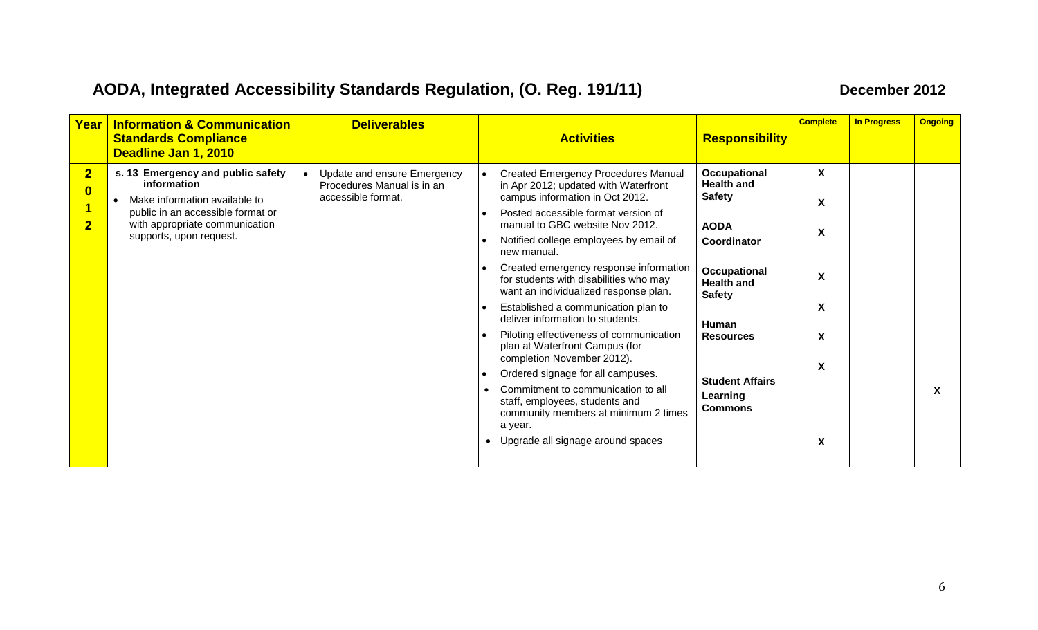## **AODA, Integrated Accessibility Standards Regulation, (O. Reg. 191/11) December 2012**

| Year                                                           | <b>Information &amp; Communication</b><br><b>Standards Compliance</b><br>Deadline Jan 1, 2010                                                                                       | <b>Deliverables</b>                                                             | <b>Activities</b>                                                                                                                                                                                                                                                                                                                                                                                                                                                                                                                                                                                                                                                                                                                                                                  | <b>Responsibility</b>                                                                                                                                                                                                       | <b>Complete</b>                      | <b>In Progress</b> | <b>Ongoing</b> |
|----------------------------------------------------------------|-------------------------------------------------------------------------------------------------------------------------------------------------------------------------------------|---------------------------------------------------------------------------------|------------------------------------------------------------------------------------------------------------------------------------------------------------------------------------------------------------------------------------------------------------------------------------------------------------------------------------------------------------------------------------------------------------------------------------------------------------------------------------------------------------------------------------------------------------------------------------------------------------------------------------------------------------------------------------------------------------------------------------------------------------------------------------|-----------------------------------------------------------------------------------------------------------------------------------------------------------------------------------------------------------------------------|--------------------------------------|--------------------|----------------|
| $\overline{\mathbf{2}}$<br>$\bf{0}$<br>$\overline{\mathbf{2}}$ | s. 13 Emergency and public safety<br>information<br>Make information available to<br>public in an accessible format or<br>with appropriate communication<br>supports, upon request. | Update and ensure Emergency<br>Procedures Manual is in an<br>accessible format. | <b>Created Emergency Procedures Manual</b><br>in Apr 2012; updated with Waterfront<br>campus information in Oct 2012.<br>Posted accessible format version of<br>manual to GBC website Nov 2012.<br>Notified college employees by email of<br>new manual.<br>Created emergency response information<br>for students with disabilities who may<br>want an individualized response plan.<br>Established a communication plan to<br>deliver information to students.<br>Piloting effectiveness of communication<br>plan at Waterfront Campus (for<br>completion November 2012).<br>Ordered signage for all campuses.<br>Commitment to communication to all<br>staff, employees, students and<br>community members at minimum 2 times<br>a year.<br>• Upgrade all signage around spaces | Occupational<br><b>Health and</b><br><b>Safety</b><br><b>AODA</b><br>Coordinator<br>Occupational<br><b>Health and</b><br><b>Safety</b><br>Human<br><b>Resources</b><br><b>Student Affairs</b><br>Learning<br><b>Commons</b> | X<br>X<br>X<br>X<br>X<br>X<br>X<br>X |                    | X              |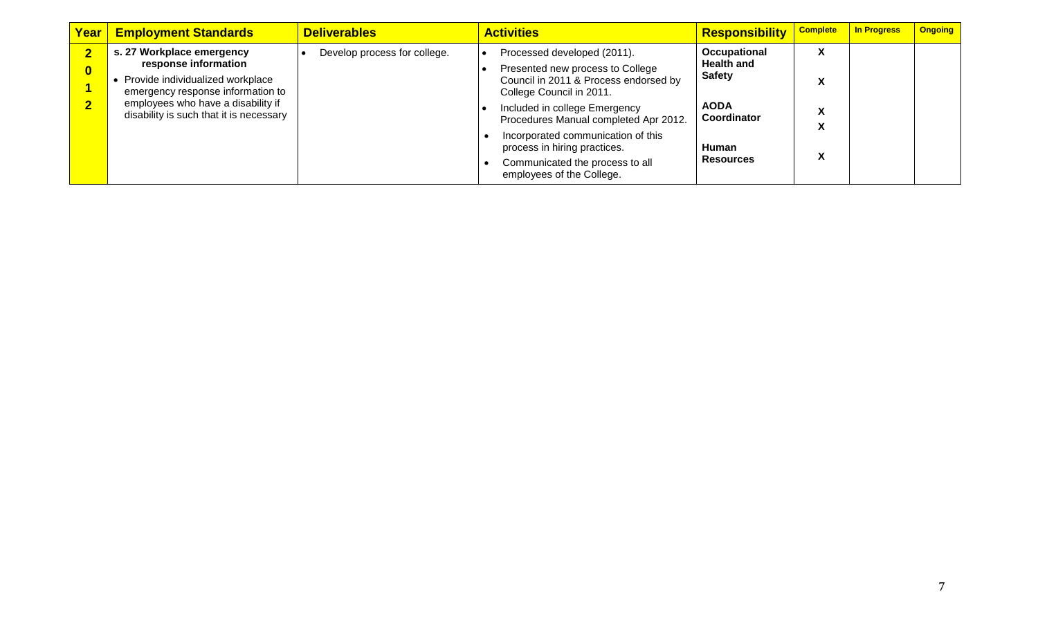| Year                       | <b>Employment Standards</b>                                                                                                                                                                                 | <b>Deliverables</b>          | <b>Activities</b>                                                                                                                                                                                                                                                                                                                                    | Responsibility                                                                                                       | <b>Complete</b> | <b>In Progress</b> | <b>Ongoing</b> |
|----------------------------|-------------------------------------------------------------------------------------------------------------------------------------------------------------------------------------------------------------|------------------------------|------------------------------------------------------------------------------------------------------------------------------------------------------------------------------------------------------------------------------------------------------------------------------------------------------------------------------------------------------|----------------------------------------------------------------------------------------------------------------------|-----------------|--------------------|----------------|
| $\bf{0}$<br>$\overline{2}$ | s. 27 Workplace emergency<br>response information<br>Provide individualized workplace<br>emergency response information to<br>employees who have a disability if<br>disability is such that it is necessary | Develop process for college. | Processed developed (2011).<br>Presented new process to College<br>Council in 2011 & Process endorsed by<br>College Council in 2011.<br>Included in college Emergency<br>Procedures Manual completed Apr 2012.<br>Incorporated communication of this<br>process in hiring practices.<br>Communicated the process to all<br>employees of the College. | Occupational<br><b>Health and</b><br><b>Safety</b><br><b>AODA</b><br>Coordinator<br><b>Human</b><br><b>Resources</b> | $\mathbf{v}$    |                    |                |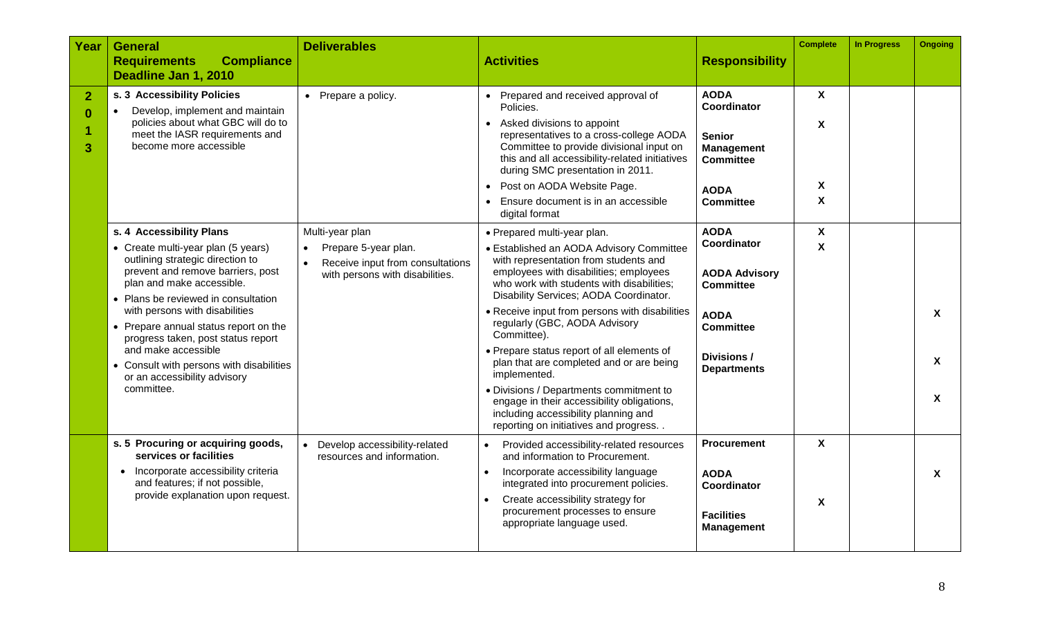| Year                            | <b>General</b><br><b>Compliance</b><br><b>Requirements</b><br>Deadline Jan 1, 2010                                                                                                                                                                                                                                                                                                                                | <b>Deliverables</b>                                                                         | <b>Activities</b>                                                                                                                                                                                                                                                                                                                                                                                                                                                                                                                                                                                        | <b>Responsibility</b>                                                                                                                         | <b>Complete</b>                  | <b>In Progress</b> | <b>Ongoing</b>                                                    |
|---------------------------------|-------------------------------------------------------------------------------------------------------------------------------------------------------------------------------------------------------------------------------------------------------------------------------------------------------------------------------------------------------------------------------------------------------------------|---------------------------------------------------------------------------------------------|----------------------------------------------------------------------------------------------------------------------------------------------------------------------------------------------------------------------------------------------------------------------------------------------------------------------------------------------------------------------------------------------------------------------------------------------------------------------------------------------------------------------------------------------------------------------------------------------------------|-----------------------------------------------------------------------------------------------------------------------------------------------|----------------------------------|--------------------|-------------------------------------------------------------------|
| $\overline{2}$<br>$\bf{0}$<br>3 | s. 3 Accessibility Policies<br>Develop, implement and maintain<br>policies about what GBC will do to<br>meet the IASR requirements and<br>become more accessible<br>s. 4 Accessibility Plans                                                                                                                                                                                                                      | • Prepare a policy.<br>Multi-year plan                                                      | Prepared and received approval of<br>Policies.<br>• Asked divisions to appoint<br>representatives to a cross-college AODA<br>Committee to provide divisional input on<br>this and all accessibility-related initiatives<br>during SMC presentation in 2011.<br>Post on AODA Website Page.<br>Ensure document is in an accessible<br>digital format<br>• Prepared multi-year plan.                                                                                                                                                                                                                        | <b>AODA</b><br><b>Coordinator</b><br><b>Senior</b><br><b>Management</b><br><b>Committee</b><br><b>AODA</b><br><b>Committee</b><br><b>AODA</b> | X<br>$\mathsf{x}$<br>X<br>X<br>X |                    |                                                                   |
|                                 | • Create multi-year plan (5 years)<br>outlining strategic direction to<br>prevent and remove barriers, post<br>plan and make accessible.<br>• Plans be reviewed in consultation<br>with persons with disabilities<br>• Prepare annual status report on the<br>progress taken, post status report<br>and make accessible<br>• Consult with persons with disabilities<br>or an accessibility advisory<br>committee. | Prepare 5-year plan.<br>Receive input from consultations<br>with persons with disabilities. | • Established an AODA Advisory Committee<br>with representation from students and<br>employees with disabilities; employees<br>who work with students with disabilities;<br>Disability Services; AODA Coordinator.<br>• Receive input from persons with disabilities<br>regularly (GBC, AODA Advisory<br>Committee).<br>• Prepare status report of all elements of<br>plan that are completed and or are being<br>implemented.<br>• Divisions / Departments commitment to<br>engage in their accessibility obligations,<br>including accessibility planning and<br>reporting on initiatives and progress | Coordinator<br><b>AODA Advisory</b><br><b>Committee</b><br><b>AODA</b><br><b>Committee</b><br>Divisions /<br><b>Departments</b>               | $\mathbf{x}$                     |                    | $\boldsymbol{\mathsf{X}}$<br>$\boldsymbol{X}$<br>$\boldsymbol{X}$ |
|                                 | s. 5 Procuring or acquiring goods,<br>services or facilities<br>• Incorporate accessibility criteria<br>and features; if not possible,<br>provide explanation upon request.                                                                                                                                                                                                                                       | Develop accessibility-related<br>resources and information.                                 | Provided accessibility-related resources<br>and information to Procurement.<br>Incorporate accessibility language<br>integrated into procurement policies.<br>Create accessibility strategy for<br>procurement processes to ensure<br>appropriate language used.                                                                                                                                                                                                                                                                                                                                         | <b>Procurement</b><br><b>AODA</b><br>Coordinator<br><b>Facilities</b><br><b>Management</b>                                                    | $\mathbf{x}$<br>X                |                    | $\boldsymbol{X}$                                                  |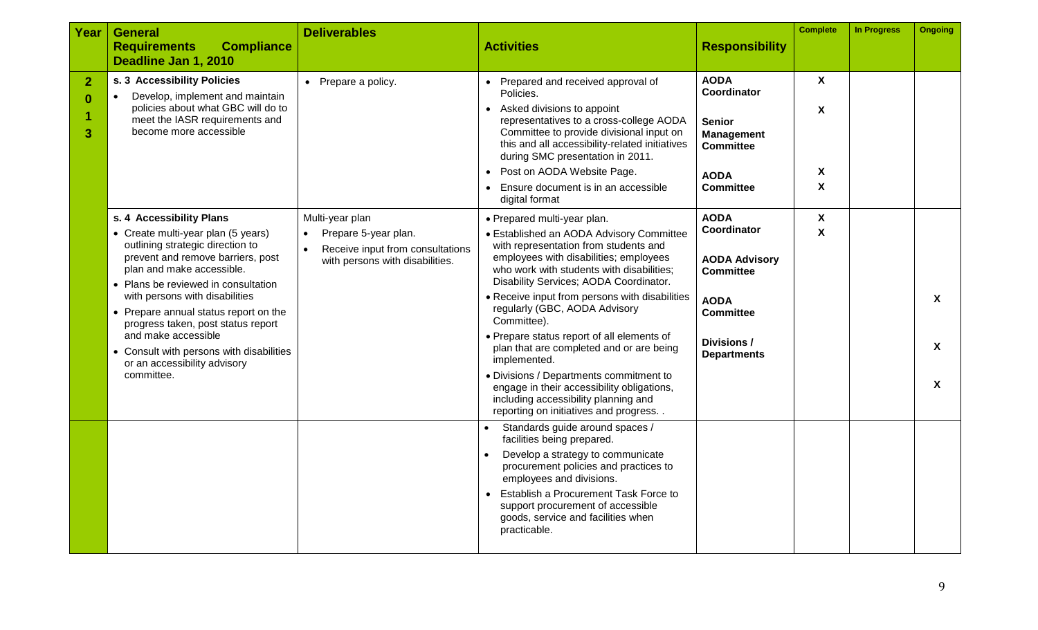| Year                            | <b>General</b>                                                                                                                                                                                                                                                                                                                                                                                                                                | <b>Deliverables</b>                                                                                                         |                                                                                                                                                                                                                                                                                                                                                                                                                                                                                                                                                                                                                                         |                                                                                                                                                | <b>Complete</b>                                     | <b>In Progress</b> | <b>Ongoing</b>                                                |
|---------------------------------|-----------------------------------------------------------------------------------------------------------------------------------------------------------------------------------------------------------------------------------------------------------------------------------------------------------------------------------------------------------------------------------------------------------------------------------------------|-----------------------------------------------------------------------------------------------------------------------------|-----------------------------------------------------------------------------------------------------------------------------------------------------------------------------------------------------------------------------------------------------------------------------------------------------------------------------------------------------------------------------------------------------------------------------------------------------------------------------------------------------------------------------------------------------------------------------------------------------------------------------------------|------------------------------------------------------------------------------------------------------------------------------------------------|-----------------------------------------------------|--------------------|---------------------------------------------------------------|
|                                 | <b>Compliance</b><br><b>Requirements</b><br>Deadline Jan 1, 2010                                                                                                                                                                                                                                                                                                                                                                              |                                                                                                                             | <b>Activities</b>                                                                                                                                                                                                                                                                                                                                                                                                                                                                                                                                                                                                                       | <b>Responsibility</b>                                                                                                                          |                                                     |                    |                                                               |
| $\overline{2}$<br>$\bf{0}$<br>3 | s. 3 Accessibility Policies<br>Develop, implement and maintain<br>$\bullet$<br>policies about what GBC will do to<br>meet the IASR requirements and<br>become more accessible                                                                                                                                                                                                                                                                 | • Prepare a policy.                                                                                                         | Prepared and received approval of<br>Policies.<br>• Asked divisions to appoint<br>representatives to a cross-college AODA<br>Committee to provide divisional input on<br>this and all accessibility-related initiatives<br>during SMC presentation in 2011.<br>Post on AODA Website Page.<br>Ensure document is in an accessible<br>digital format                                                                                                                                                                                                                                                                                      | <b>AODA</b><br>Coordinator<br><b>Senior</b><br><b>Management</b><br><b>Committee</b><br><b>AODA</b><br><b>Committee</b>                        | X<br>$\boldsymbol{\mathsf{X}}$<br>X<br>$\mathsf{x}$ |                    |                                                               |
|                                 | s. 4 Accessibility Plans<br>• Create multi-year plan (5 years)<br>outlining strategic direction to<br>prevent and remove barriers, post<br>plan and make accessible.<br>• Plans be reviewed in consultation<br>with persons with disabilities<br>• Prepare annual status report on the<br>progress taken, post status report<br>and make accessible<br>• Consult with persons with disabilities<br>or an accessibility advisory<br>committee. | Multi-year plan<br>Prepare 5-year plan.<br>$\bullet$<br>Receive input from consultations<br>with persons with disabilities. | • Prepared multi-year plan.<br>• Established an AODA Advisory Committee<br>with representation from students and<br>employees with disabilities; employees<br>who work with students with disabilities;<br>Disability Services; AODA Coordinator.<br>• Receive input from persons with disabilities<br>regularly (GBC, AODA Advisory<br>Committee).<br>• Prepare status report of all elements of<br>plan that are completed and or are being<br>implemented.<br>• Divisions / Departments commitment to<br>engage in their accessibility obligations,<br>including accessibility planning and<br>reporting on initiatives and progress | <b>AODA</b><br>Coordinator<br><b>AODA Advisory</b><br><b>Committee</b><br><b>AODA</b><br><b>Committee</b><br>Divisions /<br><b>Departments</b> | X<br>X                                              |                    | $\boldsymbol{\mathsf{X}}$<br>$\mathbf{x}$<br>$\boldsymbol{X}$ |
|                                 |                                                                                                                                                                                                                                                                                                                                                                                                                                               |                                                                                                                             | Standards guide around spaces /<br>facilities being prepared.<br>Develop a strategy to communicate<br>procurement policies and practices to<br>employees and divisions.<br>Establish a Procurement Task Force to<br>support procurement of accessible<br>goods, service and facilities when<br>practicable.                                                                                                                                                                                                                                                                                                                             |                                                                                                                                                |                                                     |                    |                                                               |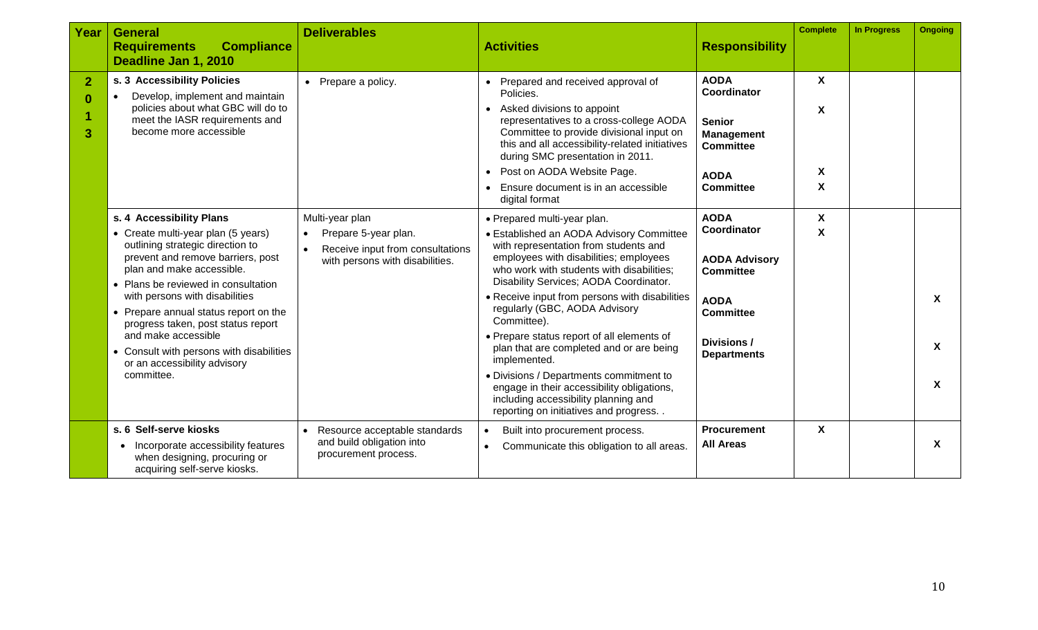| Year                     | <b>General</b><br><b>Compliance</b><br><b>Requirements</b>                                                                                                                                                                                                                                       | <b>Deliverables</b>                                                                                      | <b>Activities</b>                                                                                                                                                                                                                                                                                                                                      | <b>Responsibility</b>                                                                                                   | <b>Complete</b>  | <b>In Progress</b> | <b>Ongoing</b>            |
|--------------------------|--------------------------------------------------------------------------------------------------------------------------------------------------------------------------------------------------------------------------------------------------------------------------------------------------|----------------------------------------------------------------------------------------------------------|--------------------------------------------------------------------------------------------------------------------------------------------------------------------------------------------------------------------------------------------------------------------------------------------------------------------------------------------------------|-------------------------------------------------------------------------------------------------------------------------|------------------|--------------------|---------------------------|
|                          | Deadline Jan 1, 2010                                                                                                                                                                                                                                                                             |                                                                                                          |                                                                                                                                                                                                                                                                                                                                                        |                                                                                                                         |                  |                    |                           |
| $\overline{2}$<br>0<br>3 | s. 3 Accessibility Policies<br>Develop, implement and maintain<br>policies about what GBC will do to<br>meet the IASR requirements and<br>become more accessible                                                                                                                                 | • Prepare a policy.                                                                                      | • Prepared and received approval of<br>Policies.<br>• Asked divisions to appoint<br>representatives to a cross-college AODA<br>Committee to provide divisional input on<br>this and all accessibility-related initiatives<br>during SMC presentation in 2011.<br>• Post on AODA Website Page.<br>Ensure document is in an accessible<br>digital format | <b>AODA</b><br>Coordinator<br><b>Senior</b><br><b>Management</b><br><b>Committee</b><br><b>AODA</b><br><b>Committee</b> | X<br>X<br>Χ<br>X |                    |                           |
|                          | s. 4 Accessibility Plans                                                                                                                                                                                                                                                                         | Multi-year plan                                                                                          | • Prepared multi-year plan.                                                                                                                                                                                                                                                                                                                            | <b>AODA</b>                                                                                                             | X                |                    |                           |
|                          | • Create multi-year plan (5 years)<br>outlining strategic direction to<br>prevent and remove barriers, post<br>plan and make accessible.<br>• Plans be reviewed in consultation<br>with persons with disabilities<br>• Prepare annual status report on the<br>progress taken, post status report | Prepare 5-year plan.<br>$\bullet$<br>Receive input from consultations<br>with persons with disabilities. | • Established an AODA Advisory Committee<br>with representation from students and<br>employees with disabilities; employees<br>who work with students with disabilities;<br>Disability Services; AODA Coordinator.<br>• Receive input from persons with disabilities<br>regularly (GBC, AODA Advisory<br>Committee).                                   | Coordinator<br><b>AODA Advisory</b><br><b>Committee</b><br><b>AODA</b><br><b>Committee</b>                              | X                |                    | $\mathbf{x}$              |
|                          | and make accessible<br>• Consult with persons with disabilities<br>or an accessibility advisory                                                                                                                                                                                                  |                                                                                                          | • Prepare status report of all elements of<br>plan that are completed and or are being<br>implemented.                                                                                                                                                                                                                                                 | Divisions /<br><b>Departments</b>                                                                                       |                  |                    | $\mathbf{x}$              |
|                          | committee.                                                                                                                                                                                                                                                                                       |                                                                                                          | • Divisions / Departments commitment to<br>engage in their accessibility obligations,<br>including accessibility planning and<br>reporting on initiatives and progress                                                                                                                                                                                 |                                                                                                                         |                  |                    | $\mathbf{x}$              |
|                          | s. 6 Self-serve kiosks<br>Incorporate accessibility features<br>$\bullet$<br>when designing, procuring or<br>acquiring self-serve kiosks.                                                                                                                                                        | Resource acceptable standards<br>and build obligation into<br>procurement process.                       | Built into procurement process.<br>Communicate this obligation to all areas.<br>$\bullet$                                                                                                                                                                                                                                                              | <b>Procurement</b><br><b>All Areas</b>                                                                                  | $\mathsf{X}$     |                    | $\boldsymbol{\mathsf{X}}$ |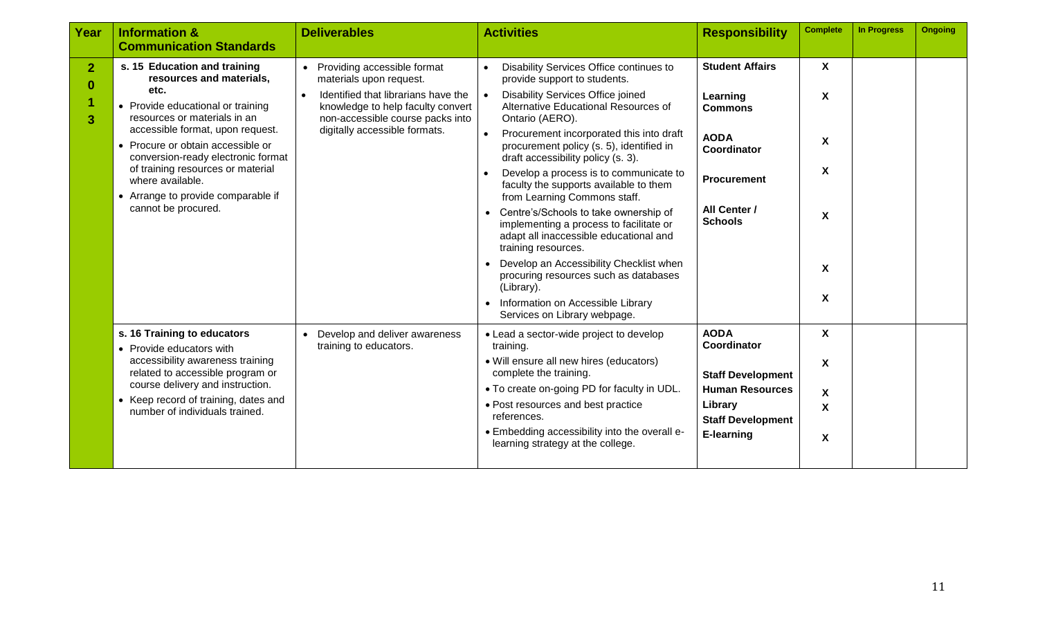| Year                            | <b>Information &amp;</b><br><b>Communication Standards</b>                                                                                                                                                                                                                                                                                                                 | <b>Deliverables</b>                                                                                                                                                                                                               | <b>Activities</b>                                                                                                                                                                                                                                                                                                                                                                                                                                                                                                                                                                                                                                                                                                                                                               | <b>Responsibility</b>                                                                                                                      | <b>Complete</b>                                                                                         | <b>In Progress</b> | <b>Ongoing</b> |
|---------------------------------|----------------------------------------------------------------------------------------------------------------------------------------------------------------------------------------------------------------------------------------------------------------------------------------------------------------------------------------------------------------------------|-----------------------------------------------------------------------------------------------------------------------------------------------------------------------------------------------------------------------------------|---------------------------------------------------------------------------------------------------------------------------------------------------------------------------------------------------------------------------------------------------------------------------------------------------------------------------------------------------------------------------------------------------------------------------------------------------------------------------------------------------------------------------------------------------------------------------------------------------------------------------------------------------------------------------------------------------------------------------------------------------------------------------------|--------------------------------------------------------------------------------------------------------------------------------------------|---------------------------------------------------------------------------------------------------------|--------------------|----------------|
| 2 <sub>1</sub><br>$\bf{0}$<br>3 | s. 15 Education and training<br>resources and materials,<br>etc.<br>• Provide educational or training<br>resources or materials in an<br>accessible format, upon request.<br>• Procure or obtain accessible or<br>conversion-ready electronic format<br>of training resources or material<br>where available.<br>• Arrange to provide comparable if<br>cannot be procured. | Providing accessible format<br>$\bullet$<br>materials upon request.<br>Identified that librarians have the<br>$\bullet$<br>knowledge to help faculty convert<br>non-accessible course packs into<br>digitally accessible formats. | Disability Services Office continues to<br>$\bullet$<br>provide support to students.<br>Disability Services Office joined<br>Alternative Educational Resources of<br>Ontario (AERO).<br>$\bullet$<br>Procurement incorporated this into draft<br>procurement policy (s. 5), identified in<br>draft accessibility policy (s. 3).<br>Develop a process is to communicate to<br>faculty the supports available to them<br>from Learning Commons staff.<br>Centre's/Schools to take ownership of<br>implementing a process to facilitate or<br>adapt all inaccessible educational and<br>training resources.<br>Develop an Accessibility Checklist when<br>procuring resources such as databases<br>(Library).<br>Information on Accessible Library<br>Services on Library webpage. | <b>Student Affairs</b><br>Learning<br><b>Commons</b><br><b>AODA</b><br>Coordinator<br><b>Procurement</b><br>All Center /<br><b>Schools</b> | $\boldsymbol{\mathsf{X}}$<br>X<br>X<br>X<br>X<br>$\boldsymbol{\mathsf{X}}$<br>$\boldsymbol{\mathsf{X}}$ |                    |                |
|                                 | s. 16 Training to educators<br>• Provide educators with<br>accessibility awareness training<br>related to accessible program or<br>course delivery and instruction.<br>• Keep record of training, dates and<br>number of individuals trained.                                                                                                                              | Develop and deliver awareness<br>$\bullet$<br>training to educators.                                                                                                                                                              | • Lead a sector-wide project to develop<br>training.<br>• Will ensure all new hires (educators)<br>complete the training.<br>• To create on-going PD for faculty in UDL.<br>• Post resources and best practice<br>references.<br>• Embedding accessibility into the overall e-<br>learning strategy at the college.                                                                                                                                                                                                                                                                                                                                                                                                                                                             | <b>AODA</b><br>Coordinator<br><b>Staff Development</b><br><b>Human Resources</b><br>Library<br><b>Staff Development</b><br>E-learning      | $\pmb{\chi}$<br>$\boldsymbol{\mathsf{X}}$<br>X<br>$\boldsymbol{\mathsf{X}}$<br>X                        |                    |                |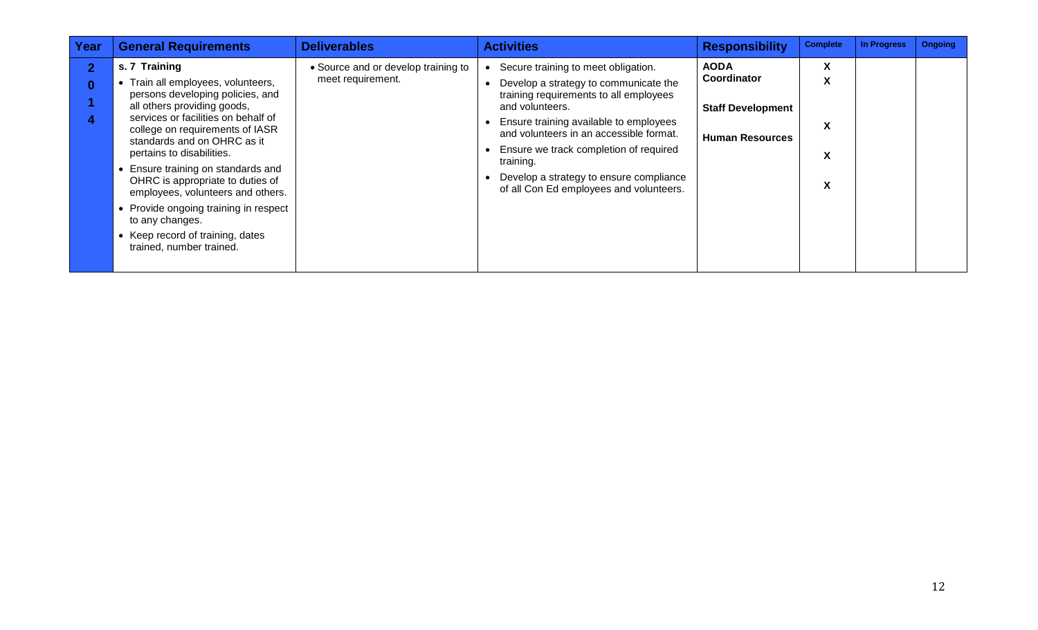| Year         | <b>General Requirements</b>                                                                                                                                                                                                                                                                                                                                                                                                                                                                             | <b>Deliverables</b>                                      | <b>Activities</b>                                                                                                                                                                                                                                                                                                                                                           | <b>Responsibility</b>                                                            | <b>Complete</b>       | <b>In Progress</b> | <b>Ongoing</b> |
|--------------|---------------------------------------------------------------------------------------------------------------------------------------------------------------------------------------------------------------------------------------------------------------------------------------------------------------------------------------------------------------------------------------------------------------------------------------------------------------------------------------------------------|----------------------------------------------------------|-----------------------------------------------------------------------------------------------------------------------------------------------------------------------------------------------------------------------------------------------------------------------------------------------------------------------------------------------------------------------------|----------------------------------------------------------------------------------|-----------------------|--------------------|----------------|
| $\mathbf{2}$ | s. 7 Training<br>• Train all employees, volunteers,<br>persons developing policies, and<br>all others providing goods,<br>services or facilities on behalf of<br>college on requirements of IASR<br>standards and on OHRC as it<br>pertains to disabilities.<br>• Ensure training on standards and<br>OHRC is appropriate to duties of<br>employees, volunteers and others.<br>• Provide ongoing training in respect<br>to any changes.<br>• Keep record of training, dates<br>trained, number trained. | • Source and or develop training to<br>meet requirement. | Secure training to meet obligation.<br>Develop a strategy to communicate the<br>training requirements to all employees<br>and volunteers.<br>Ensure training available to employees<br>and volunteers in an accessible format.<br>Ensure we track completion of required<br>training.<br>Develop a strategy to ensure compliance<br>of all Con Ed employees and volunteers. | <b>AODA</b><br>Coordinator<br><b>Staff Development</b><br><b>Human Resources</b> | X<br>X<br>X<br>X<br>X |                    |                |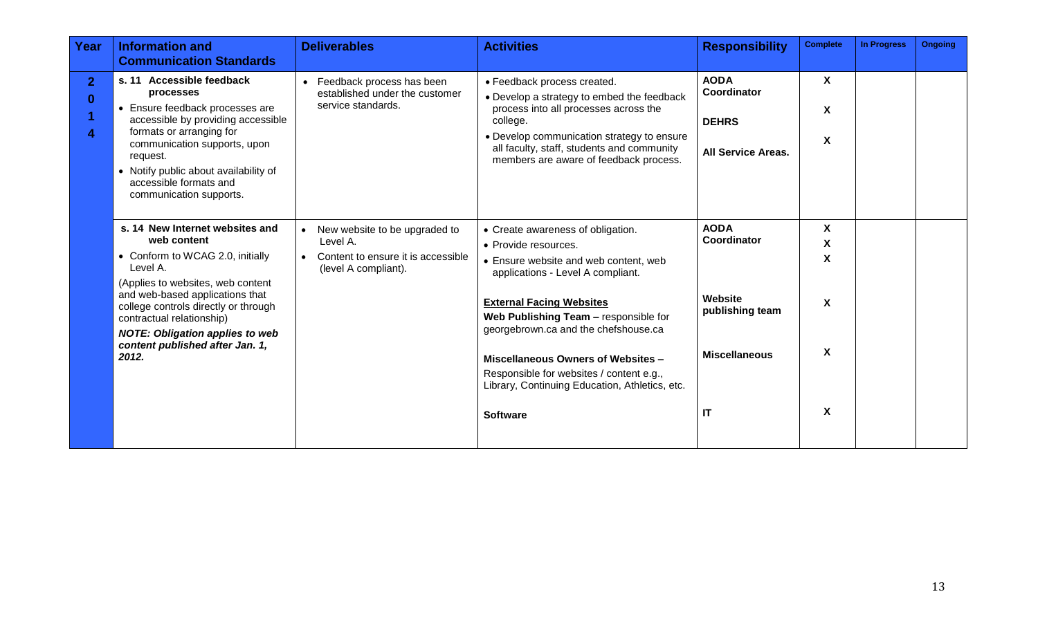| Year                | <b>Information and</b><br><b>Communication Standards</b>                                                                                                                                                                                                                              | <b>Deliverables</b>                                                                                                  | <b>Activities</b>                                                                                                                                                                                                                                                    | <b>Responsibility</b>                                                   | <b>Complete</b>           | <b>In Progress</b> | <b>Ongoing</b> |
|---------------------|---------------------------------------------------------------------------------------------------------------------------------------------------------------------------------------------------------------------------------------------------------------------------------------|----------------------------------------------------------------------------------------------------------------------|----------------------------------------------------------------------------------------------------------------------------------------------------------------------------------------------------------------------------------------------------------------------|-------------------------------------------------------------------------|---------------------------|--------------------|----------------|
| 2 <sub>1</sub><br>0 | s. 11 Accessible feedback<br>processes<br>• Ensure feedback processes are<br>accessible by providing accessible<br>formats or arranging for<br>communication supports, upon<br>request.<br>• Notify public about availability of<br>accessible formats and<br>communication supports. | • Feedback process has been<br>established under the customer<br>service standards.                                  | • Feedback process created.<br>• Develop a strategy to embed the feedback<br>process into all processes across the<br>college.<br>• Develop communication strategy to ensure<br>all faculty, staff, students and community<br>members are aware of feedback process. | <b>AODA</b><br>Coordinator<br><b>DEHRS</b><br><b>All Service Areas.</b> | X<br>X<br>X               |                    |                |
|                     | s. 14 New Internet websites and<br>web content<br>• Conform to WCAG 2.0, initially<br>Level A.<br>(Applies to websites, web content                                                                                                                                                   | New website to be upgraded to<br>Level A.<br>Content to ensure it is accessible<br>$\bullet$<br>(level A compliant). | • Create awareness of obligation.<br>• Provide resources.<br>• Ensure website and web content, web<br>applications - Level A compliant.                                                                                                                              | <b>AODA</b><br>Coordinator                                              | X<br>X<br>X               |                    |                |
|                     | and web-based applications that<br>college controls directly or through<br>contractual relationship)<br><b>NOTE: Obligation applies to web</b><br>content published after Jan. 1,                                                                                                     |                                                                                                                      | <b>External Facing Websites</b><br>Web Publishing Team - responsible for<br>georgebrown.ca and the chefshouse.ca                                                                                                                                                     | Website<br>publishing team                                              | X                         |                    |                |
|                     | 2012.                                                                                                                                                                                                                                                                                 |                                                                                                                      | Miscellaneous Owners of Websites -<br>Responsible for websites / content e.g.,<br>Library, Continuing Education, Athletics, etc.                                                                                                                                     | <b>Miscellaneous</b>                                                    | X                         |                    |                |
|                     |                                                                                                                                                                                                                                                                                       |                                                                                                                      | <b>Software</b>                                                                                                                                                                                                                                                      | IT                                                                      | $\boldsymbol{\mathsf{x}}$ |                    |                |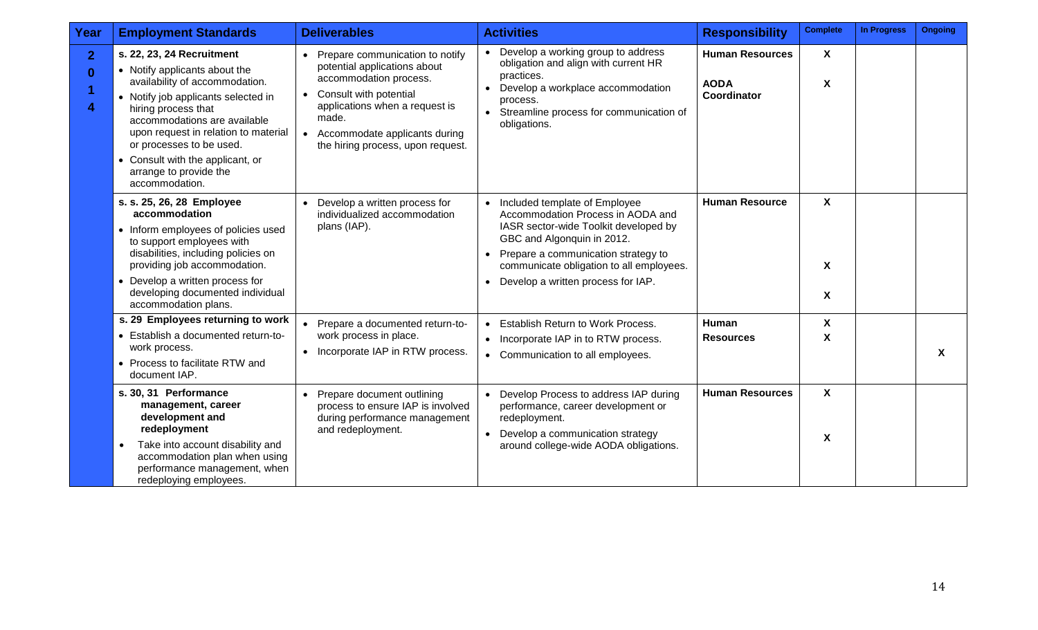| Year                                         | <b>Employment Standards</b>                                                                                                                                                                                                                                                                                                                    | <b>Deliverables</b>                                                                                                                                                                                                                                              | <b>Activities</b>                                                                                                                                                                                                                                                                              | <b>Responsibility</b>                                | <b>Complete</b>                | <b>In Progress</b> | <b>Ongoing</b>            |
|----------------------------------------------|------------------------------------------------------------------------------------------------------------------------------------------------------------------------------------------------------------------------------------------------------------------------------------------------------------------------------------------------|------------------------------------------------------------------------------------------------------------------------------------------------------------------------------------------------------------------------------------------------------------------|------------------------------------------------------------------------------------------------------------------------------------------------------------------------------------------------------------------------------------------------------------------------------------------------|------------------------------------------------------|--------------------------------|--------------------|---------------------------|
| $\mathbf{2}$<br>$\bf{0}$<br>$\boldsymbol{4}$ | s. 22, 23, 24 Recruitment<br>• Notify applicants about the<br>availability of accommodation.<br>• Notify job applicants selected in<br>hiring process that<br>accommodations are available<br>upon request in relation to material<br>or processes to be used.<br>• Consult with the applicant, or<br>arrange to provide the<br>accommodation. | • Prepare communication to notify<br>potential applications about<br>accommodation process.<br>Consult with potential<br>$\bullet$<br>applications when a request is<br>made.<br>Accommodate applicants during<br>$\bullet$<br>the hiring process, upon request. | • Develop a working group to address<br>obligation and align with current HR<br>practices.<br>Develop a workplace accommodation<br>$\bullet$<br>process.<br>• Streamline process for communication of<br>obligations.                                                                          | <b>Human Resources</b><br><b>AODA</b><br>Coordinator | $\mathsf{X}$<br>X              |                    |                           |
|                                              | s. s. 25, 26, 28 Employee<br>accommodation<br>• Inform employees of policies used<br>to support employees with<br>disabilities, including policies on<br>providing job accommodation.<br>Develop a written process for<br>developing documented individual<br>accommodation plans.                                                             | Develop a written process for<br>$\bullet$<br>individualized accommodation<br>plans (IAP).                                                                                                                                                                       | • Included template of Employee<br>Accommodation Process in AODA and<br>IASR sector-wide Toolkit developed by<br>GBC and Algonquin in 2012.<br>Prepare a communication strategy to<br>$\bullet$<br>communicate obligation to all employees.<br>Develop a written process for IAP.<br>$\bullet$ | <b>Human Resource</b>                                | $\boldsymbol{X}$<br>X<br>X     |                    |                           |
|                                              | s. 29 Employees returning to work<br>• Establish a documented return-to-<br>work process.<br>• Process to facilitate RTW and<br>document IAP.                                                                                                                                                                                                  | Prepare a documented return-to-<br>work process in place.<br>Incorporate IAP in RTW process.                                                                                                                                                                     | • Establish Return to Work Process.<br>• Incorporate IAP in to RTW process.<br>• Communication to all employees.                                                                                                                                                                               | Human<br><b>Resources</b>                            | X<br>X                         |                    | $\boldsymbol{\mathsf{X}}$ |
|                                              | s. 30, 31 Performance<br>management, career<br>development and<br>redeployment<br>Take into account disability and<br>accommodation plan when using<br>performance management, when<br>redeploying employees.                                                                                                                                  | Prepare document outlining<br>$\bullet$<br>process to ensure IAP is involved<br>during performance management<br>and redeployment.                                                                                                                               | • Develop Process to address IAP during<br>performance, career development or<br>redeployment.<br>Develop a communication strategy<br>$\bullet$<br>around college-wide AODA obligations.                                                                                                       | <b>Human Resources</b>                               | $\boldsymbol{\mathsf{X}}$<br>X |                    |                           |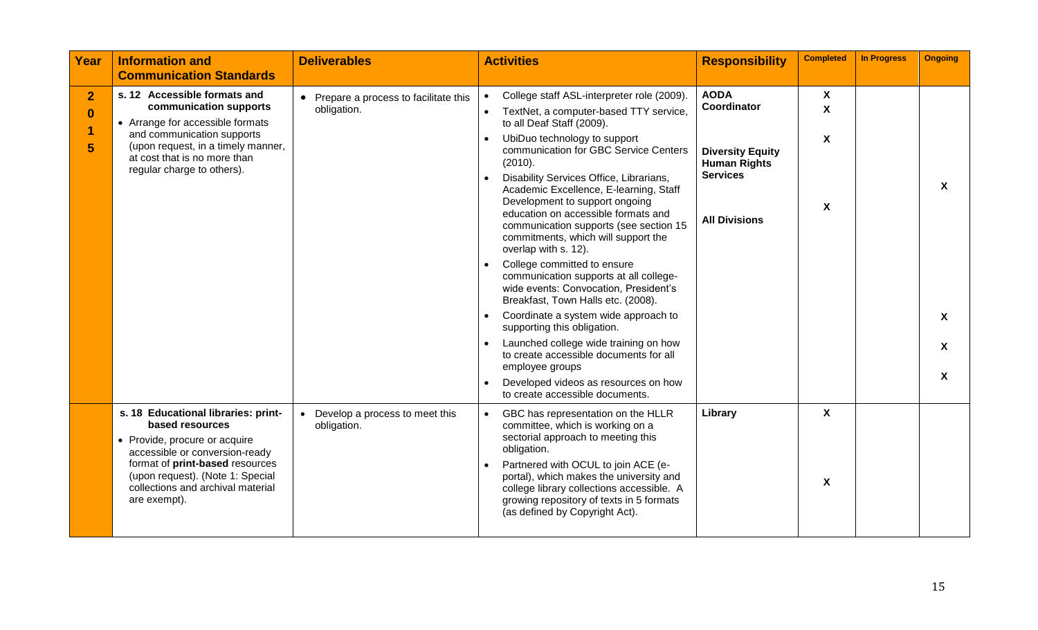| Year                           | <b>Information and</b><br><b>Communication Standards</b>                                                                                                                                                                                              | <b>Deliverables</b>                                   | <b>Activities</b>                                                                                                                                                                                                                                                                                                                                                                                                                                                                                                                                                                                                                                                                                                                                                                                                                                                                                                                                | <b>Responsibility</b>                                                                                                   | <b>Completed</b>               | <b>In Progress</b> | <b>Ongoing</b>                           |
|--------------------------------|-------------------------------------------------------------------------------------------------------------------------------------------------------------------------------------------------------------------------------------------------------|-------------------------------------------------------|--------------------------------------------------------------------------------------------------------------------------------------------------------------------------------------------------------------------------------------------------------------------------------------------------------------------------------------------------------------------------------------------------------------------------------------------------------------------------------------------------------------------------------------------------------------------------------------------------------------------------------------------------------------------------------------------------------------------------------------------------------------------------------------------------------------------------------------------------------------------------------------------------------------------------------------------------|-------------------------------------------------------------------------------------------------------------------------|--------------------------------|--------------------|------------------------------------------|
| $\overline{2}$<br>$\mathbf{0}$ | s. 12 Accessible formats and<br>communication supports<br>• Arrange for accessible formats<br>and communication supports<br>(upon request, in a timely manner,<br>at cost that is no more than<br>regular charge to others).                          | • Prepare a process to facilitate this<br>obligation. | College staff ASL-interpreter role (2009).<br>TextNet, a computer-based TTY service,<br>$\bullet$<br>to all Deaf Staff (2009).<br>UbiDuo technology to support<br>$\bullet$<br>communication for GBC Service Centers<br>(2010).<br>Disability Services Office, Librarians,<br>Academic Excellence, E-learning, Staff<br>Development to support ongoing<br>education on accessible formats and<br>communication supports (see section 15<br>commitments, which will support the<br>overlap with s. 12).<br>College committed to ensure<br>$\bullet$<br>communication supports at all college-<br>wide events: Convocation, President's<br>Breakfast, Town Halls etc. (2008).<br>Coordinate a system wide approach to<br>$\bullet$<br>supporting this obligation.<br>Launched college wide training on how<br>to create accessible documents for all<br>employee groups<br>Developed videos as resources on how<br>to create accessible documents. | <b>AODA</b><br>Coordinator<br><b>Diversity Equity</b><br><b>Human Rights</b><br><b>Services</b><br><b>All Divisions</b> | X<br>$\mathbf{x}$<br>X<br>X    |                    | X<br>$\boldsymbol{\mathsf{X}}$<br>X<br>X |
|                                | s. 18 Educational libraries: print-<br>based resources<br>• Provide, procure or acquire<br>accessible or conversion-ready<br>format of print-based resources<br>(upon request). (Note 1: Special<br>collections and archival material<br>are exempt). | Develop a process to meet this<br>obligation.         | GBC has representation on the HLLR<br>$\bullet$<br>committee, which is working on a<br>sectorial approach to meeting this<br>obligation.<br>Partnered with OCUL to join ACE (e-<br>portal), which makes the university and<br>college library collections accessible. A<br>growing repository of texts in 5 formats<br>(as defined by Copyright Act).                                                                                                                                                                                                                                                                                                                                                                                                                                                                                                                                                                                            | Library                                                                                                                 | X<br>$\boldsymbol{\mathsf{X}}$ |                    |                                          |